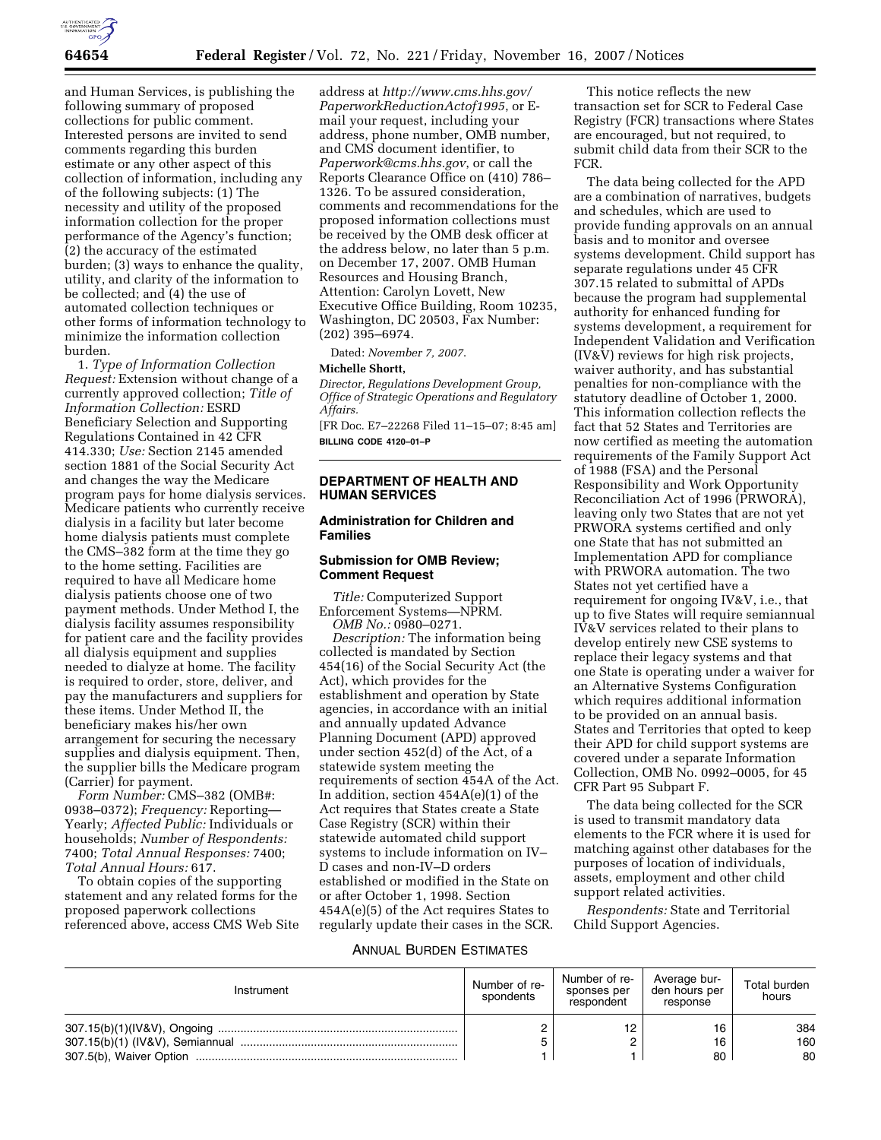

and Human Services, is publishing the following summary of proposed collections for public comment. Interested persons are invited to send comments regarding this burden estimate or any other aspect of this collection of information, including any of the following subjects: (1) The necessity and utility of the proposed information collection for the proper performance of the Agency's function; (2) the accuracy of the estimated burden; (3) ways to enhance the quality, utility, and clarity of the information to be collected; and (4) the use of automated collection techniques or other forms of information technology to minimize the information collection burden.

1. *Type of Information Collection Request:* Extension without change of a currently approved collection; *Title of Information Collection:* ESRD Beneficiary Selection and Supporting Regulations Contained in 42 CFR 414.330; *Use:* Section 2145 amended section 1881 of the Social Security Act and changes the way the Medicare program pays for home dialysis services. Medicare patients who currently receive dialysis in a facility but later become home dialysis patients must complete the CMS–382 form at the time they go to the home setting. Facilities are required to have all Medicare home dialysis patients choose one of two payment methods. Under Method I, the dialysis facility assumes responsibility for patient care and the facility provides all dialysis equipment and supplies needed to dialyze at home. The facility is required to order, store, deliver, and pay the manufacturers and suppliers for these items. Under Method II, the beneficiary makes his/her own arrangement for securing the necessary supplies and dialysis equipment. Then, the supplier bills the Medicare program (Carrier) for payment.

*Form Number:* CMS–382 (OMB#: 0938–0372); *Frequency:* Reporting— Yearly; *Affected Public:* Individuals or households; *Number of Respondents:*  7400; *Total Annual Responses:* 7400; *Total Annual Hours:* 617.

To obtain copies of the supporting statement and any related forms for the proposed paperwork collections referenced above, access CMS Web Site

address at *http://www.cms.hhs.gov/ PaperworkReductionActof1995*, or Email your request, including your address, phone number, OMB number, and CMS document identifier, to *Paperwork@cms.hhs.gov*, or call the Reports Clearance Office on (410) 786– 1326. To be assured consideration, comments and recommendations for the proposed information collections must be received by the OMB desk officer at the address below, no later than 5 p.m. on December 17, 2007. OMB Human Resources and Housing Branch, Attention: Carolyn Lovett, New Executive Office Building, Room 10235, Washington, DC 20503, Fax Number: (202) 395–6974.

Dated: *November 7, 2007*.

#### **Michelle Shortt,**

*Director, Regulations Development Group, Office of Strategic Operations and Regulatory Affairs.* 

[FR Doc. E7–22268 Filed 11–15–07; 8:45 am] **BILLING CODE 4120–01–P** 

# **DEPARTMENT OF HEALTH AND HUMAN SERVICES**

# **Administration for Children and Families**

### **Submission for OMB Review; Comment Request**

*Title:* Computerized Support Enforcement Systems—NPRM. *OMB No.:* 0980–0271.

*Description:* The information being collected is mandated by Section 454(16) of the Social Security Act (the Act), which provides for the establishment and operation by State agencies, in accordance with an initial and annually updated Advance Planning Document (APD) approved under section 452(d) of the Act, of a statewide system meeting the requirements of section 454A of the Act. In addition, section 454A(e)(1) of the Act requires that States create a State Case Registry (SCR) within their statewide automated child support systems to include information on IV– D cases and non-IV–D orders established or modified in the State on or after October 1, 1998. Section 454A(e)(5) of the Act requires States to regularly update their cases in the SCR.

This notice reflects the new transaction set for SCR to Federal Case Registry (FCR) transactions where States are encouraged, but not required, to submit child data from their SCR to the FCR.

The data being collected for the APD are a combination of narratives, budgets and schedules, which are used to provide funding approvals on an annual basis and to monitor and oversee systems development. Child support has separate regulations under 45 CFR 307.15 related to submittal of APDs because the program had supplemental authority for enhanced funding for systems development, a requirement for Independent Validation and Verification (IV&V) reviews for high risk projects, waiver authority, and has substantial penalties for non-compliance with the statutory deadline of October 1, 2000. This information collection reflects the fact that 52 States and Territories are now certified as meeting the automation requirements of the Family Support Act of 1988 (FSA) and the Personal Responsibility and Work Opportunity Reconciliation Act of 1996 (PRWORA), leaving only two States that are not yet PRWORA systems certified and only one State that has not submitted an Implementation APD for compliance with PRWORA automation. The two States not yet certified have a requirement for ongoing IV&V, i.e., that up to five States will require semiannual IV&V services related to their plans to develop entirely new CSE systems to replace their legacy systems and that one State is operating under a waiver for an Alternative Systems Configuration which requires additional information to be provided on an annual basis. States and Territories that opted to keep their APD for child support systems are covered under a separate Information Collection, OMB No. 0992–0005, for 45 CFR Part 95 Subpart F.

The data being collected for the SCR is used to transmit mandatory data elements to the FCR where it is used for matching against other databases for the purposes of location of individuals, assets, employment and other child support related activities.

*Respondents:* State and Territorial Child Support Agencies.

### ANNUAL BURDEN ESTIMATES

| Instrument | Number of re-<br>spondents | Number of re-<br>sponses per<br>respondent | Average bur-<br>den hours per<br>response | Total burden<br>hours |
|------------|----------------------------|--------------------------------------------|-------------------------------------------|-----------------------|
|            |                            | 12                                         | 16                                        | 384                   |
|            |                            |                                            | 16                                        | 160                   |
|            |                            |                                            | 80                                        | 80                    |